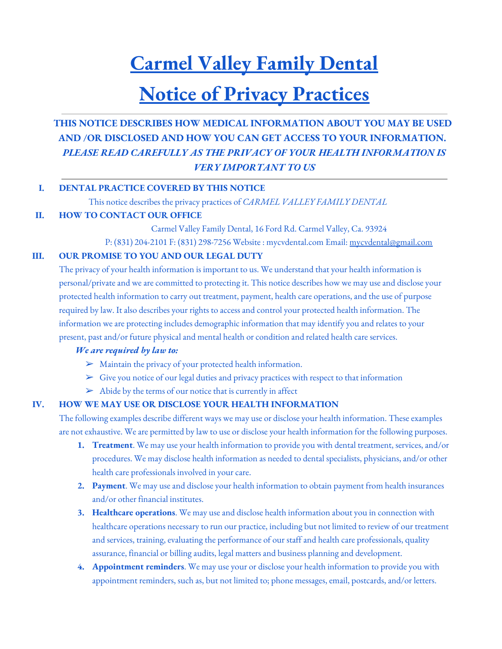# **Carmel Valley Family Dental**

# **Notice of Privacy Practices**

# **THIS NOTICE DESCRIBES HOW MEDICAL INFORMATION ABOUT YOU MAY BE USED AND /OR DISCLOSED AND HOW YOU CAN GET ACCESS TO YOUR INFORMATION.** *PLEASE READ CAREFULLY AS THE PRIVACY OF YOUR HEALTH INFORMATION IS VERY IMPORTANT TO US*

## **I. DENTAL PRACTICE COVERED BY THIS NOTICE**

This notice describes the privacy practices of *CARMEL VALLEY FAMILY DENTAL*

#### **II. HOW TO CONTACT OUR OFFICE**

Carmel Valley Family Dental, 16 Ford Rd. Carmel Valley, Ca. 93924

P: (831) 204-2101 F: (831) 298-7256 Website : mycvdental.com Email: [mycvdental@gmail.com](mailto:mycvdental@gmail.com)

## **III. OUR PROMISE TO YOU AND OUR LEGAL DUTY**

The privacy of your health information is important to us. We understand that your health information is personal/private and we are committed to protecting it. This notice describes how we may use and disclose your protected health information to carry out treatment, payment, health care operations, and the use of purpose required by law. It also describes your rights to access and control your protected health information. The information we are protecting includes demographic information that may identify you and relates to your present, past and/or future physical and mental health or condition and related health care services.

#### *We are required by law to:*

- ➢ Maintain the privacy of your protected health information.
- ➢ Give you notice of our legal duties and privacy practices with respect to that information
- $\triangleright$  Abide by the terms of our notice that is currently in affect

# **IV. HOW WE MAY USE OR DISCLOSE YOUR HEALTH INFORMATION**

The following examples describe different ways we may use or disclose your health information. These examples are not exhaustive. We are permitted by law to use or disclose your health information for the following purposes.

- **1. Treatment**. We may use your health information to provide you with dental treatment, services, and/or procedures. We may disclose health information as needed to dental specialists, physicians, and/or other health care professionals involved in your care.
- **2. Payment**. We may use and disclose your health information to obtain payment from health insurances and/or other financial institutes.
- **3. Healthcare operations**. We may use and disclose health information about you in connection with healthcare operations necessary to run our practice, including but not limited to review of our treatment and services, training, evaluating the performance of our staff and health care professionals, quality assurance, financial or billing audits, legal matters and business planning and development.
- **4. Appointment reminders**. We may use your or disclose your health information to provide you with appointment reminders, such as, but not limited to; phone messages, email, postcards, and/or letters.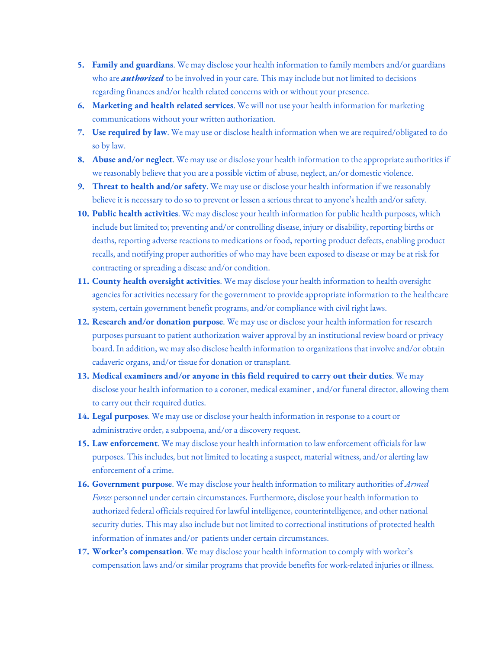- **5. Family and guardians**. We may disclose your health information to family members and/or guardians who are *authorized* to be involved in your care. This may include but not limited to decisions regarding finances and/or health related concerns with or without your presence.
- **6. Marketing and health related services**. We will not use your health information for marketing communications without your written authorization.
- **7. Use required by law**. We may use or disclose health information when we are required/obligated to do so by law.
- **8. Abuse and/or neglect**. We may use or disclose your health information to the appropriate authorities if we reasonably believe that you are a possible victim of abuse, neglect, an/or domestic violence.
- **9. Threat to health and/or safety**. We may use or disclose your health information if we reasonably believe it is necessary to do so to prevent or lessen a serious threat to anyone's health and/or safety.
- **10. Public health activities**. We may disclose your health information for public health purposes, which include but limited to; preventing and/or controlling disease, injury or disability, reporting births or deaths, reporting adverse reactions to medications or food, reporting product defects, enabling product recalls, and notifying proper authorities of who may have been exposed to disease or may be at risk for contracting or spreading a disease and/or condition.
- **11. County health oversight activities**. We may disclose your health information to health oversight agencies for activities necessary for the government to provide appropriate information to the healthcare system, certain government benefit programs, and/or compliance with civil right laws.
- **12. Research and/or donation purpose**. We may use or disclose your health information for research purposes pursuant to patient authorization waiver approval by an institutional review board or privacy board. In addition, we may also disclose health information to organizations that involve and/or obtain cadaveric organs, and/or tissue for donation or transplant.
- **13. Medical examiners and/or anyone in this field required to carry out their duties**. We may disclose your health information to a coroner, medical examiner , and/or funeral director, allowing them to carry out their required duties.
- **14. Legal purposes**. We may use or disclose your health information in response to a court or administrative order, a subpoena, and/or a discovery request.
- **15. Law enforcement**. We may disclose your health information to law enforcement officials for law purposes. This includes, but not limited to locating a suspect, material witness, and/or alerting law enforcement of a crime.
- **16. Government purpose**. We may disclose your health information to military authorities of *Armed Forces* personnel under certain circumstances. Furthermore, disclose your health information to authorized federal officials required for lawful intelligence, counterintelligence, and other national security duties. This may also include but not limited to correctional institutions of protected health information of inmates and/or patients under certain circumstances.
- **17. Worker's compensation**. We may disclose your health information to comply with worker's compensation laws and/or similar programs that provide benefits for work-related injuries or illness.